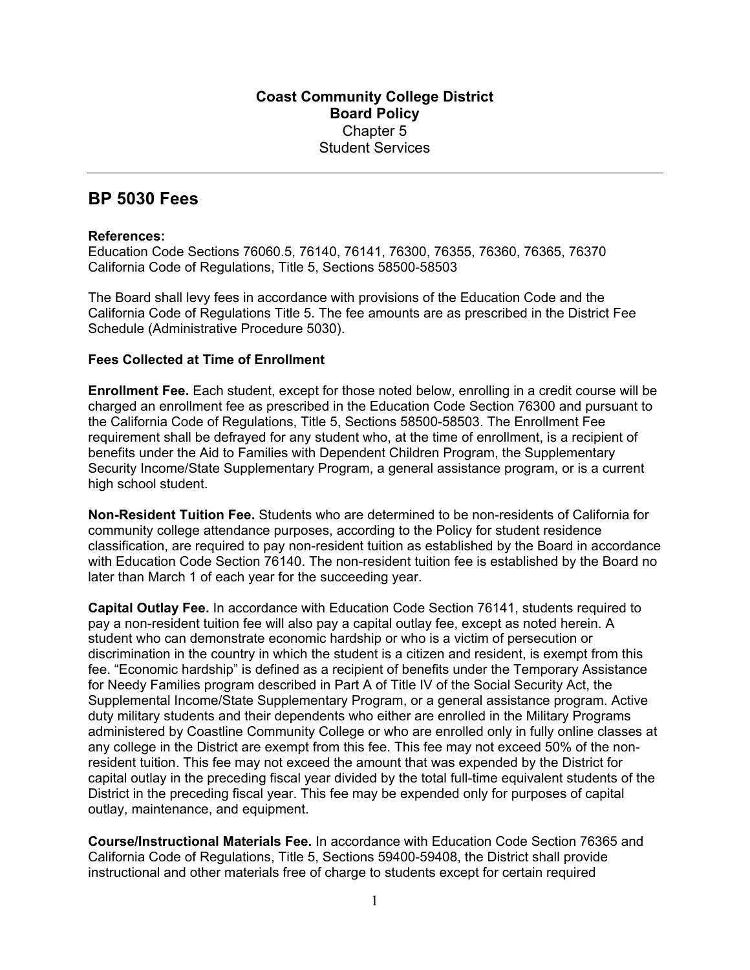## **BP 5030 Fees**

## **References:**

Education Code Sections 76060.5, 76140, 76141, 76300, 76355, 76360, 76365, 76370 California Code of Regulations, Title 5, Sections 58500-58503

The Board shall levy fees in accordance with provisions of the Education Code and the California Code of Regulations Title 5. The fee amounts are as prescribed in the District Fee Schedule (Administrative Procedure 5030).

## **Fees Collected at Time of Enrollment**

**Enrollment Fee.** Each student, except for those noted below, enrolling in a credit course will be charged an enrollment fee as prescribed in the Education Code Section 76300 and pursuant to the California Code of Regulations, Title 5, Sections 58500-58503. The Enrollment Fee requirement shall be defrayed for any student who, at the time of enrollment, is a recipient of benefits under the Aid to Families with Dependent Children Program, the Supplementary Security Income/State Supplementary Program, a general assistance program, or is a current high school student.

**Non-Resident Tuition Fee.** Students who are determined to be non-residents of California for community college attendance purposes, according to the Policy for student residence classification, are required to pay non-resident tuition as established by the Board in accordance with Education Code Section 76140. The non-resident tuition fee is established by the Board no later than March 1 of each year for the succeeding year.

**Capital Outlay Fee.** In accordance with Education Code Section 76141, students required to pay a non-resident tuition fee will also pay a capital outlay fee, except as noted herein. A student who can demonstrate economic hardship or who is a victim of persecution or discrimination in the country in which the student is a citizen and resident, is exempt from this fee. "Economic hardship" is defined as a recipient of benefits under the Temporary Assistance for Needy Families program described in Part A of Title IV of the Social Security Act, the Supplemental Income/State Supplementary Program, or a general assistance program. Active duty military students and their dependents who either are enrolled in the Military Programs administered by Coastline Community College or who are enrolled only in fully online classes at any college in the District are exempt from this fee. This fee may not exceed 50% of the nonresident tuition. This fee may not exceed the amount that was expended by the District for capital outlay in the preceding fiscal year divided by the total full-time equivalent students of the District in the preceding fiscal year. This fee may be expended only for purposes of capital outlay, maintenance, and equipment.

**Course/Instructional Materials Fee.** In accordance with Education Code Section 76365 and California Code of Regulations, Title 5, Sections 59400-59408, the District shall provide instructional and other materials free of charge to students except for certain required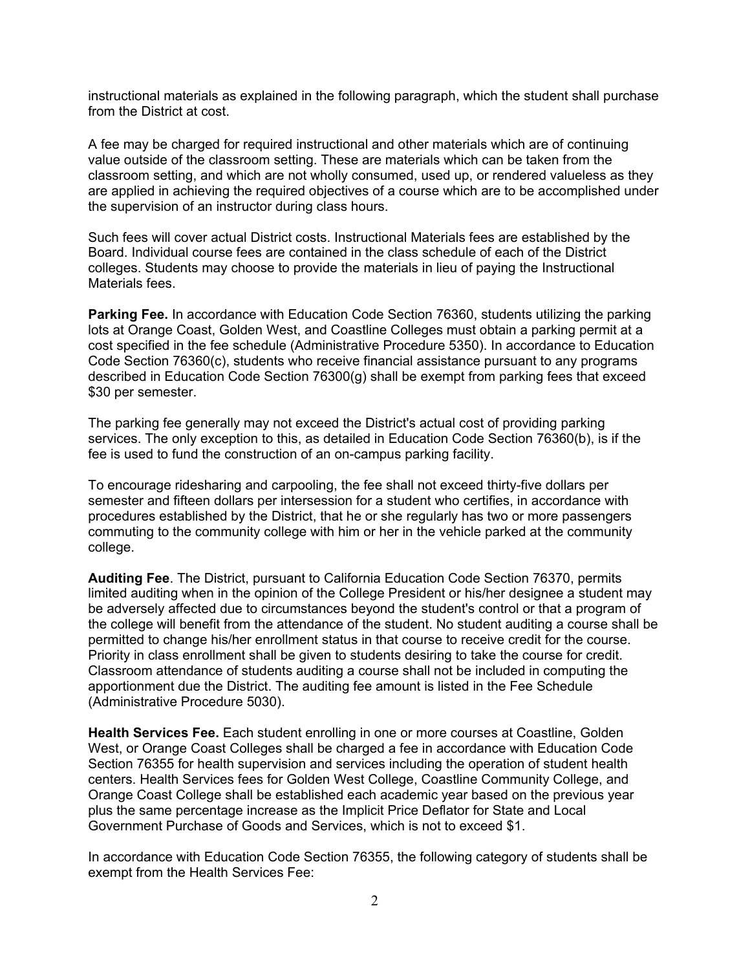instructional materials as explained in the following paragraph, which the student shall purchase from the District at cost.

A fee may be charged for required instructional and other materials which are of continuing value outside of the classroom setting. These are materials which can be taken from the classroom setting, and which are not wholly consumed, used up, or rendered valueless as they are applied in achieving the required objectives of a course which are to be accomplished under the supervision of an instructor during class hours.

Such fees will cover actual District costs. Instructional Materials fees are established by the Board. Individual course fees are contained in the class schedule of each of the District colleges. Students may choose to provide the materials in lieu of paying the Instructional Materials fees.

**Parking Fee.** In accordance with Education Code Section 76360, students utilizing the parking lots at Orange Coast, Golden West, and Coastline Colleges must obtain a parking permit at a cost specified in the fee schedule (Administrative Procedure 5350). In accordance to Education Code Section 76360(c), students who receive financial assistance pursuant to any programs described in Education Code Section 76300(g) shall be exempt from parking fees that exceed \$30 per semester.

The parking fee generally may not exceed the District's actual cost of providing parking services. The only exception to this, as detailed in Education Code Section 76360(b), is if the fee is used to fund the construction of an on-campus parking facility.

To encourage ridesharing and carpooling, the fee shall not exceed thirty-five dollars per semester and fifteen dollars per intersession for a student who certifies, in accordance with procedures established by the District, that he or she regularly has two or more passengers commuting to the community college with him or her in the vehicle parked at the community college.

**Auditing Fee**. The District, pursuant to California Education Code Section 76370, permits limited auditing when in the opinion of the College President or his/her designee a student may be adversely affected due to circumstances beyond the student's control or that a program of the college will benefit from the attendance of the student. No student auditing a course shall be permitted to change his/her enrollment status in that course to receive credit for the course. Priority in class enrollment shall be given to students desiring to take the course for credit. Classroom attendance of students auditing a course shall not be included in computing the apportionment due the District. The auditing fee amount is listed in the Fee Schedule (Administrative Procedure 5030).

**Health Services Fee.** Each student enrolling in one or more courses at Coastline, Golden West, or Orange Coast Colleges shall be charged a fee in accordance with Education Code Section 76355 for health supervision and services including the operation of student health centers. Health Services fees for Golden West College, Coastline Community College, and Orange Coast College shall be established each academic year based on the previous year plus the same percentage increase as the Implicit Price Deflator for State and Local Government Purchase of Goods and Services, which is not to exceed \$1.

In accordance with Education Code Section 76355, the following category of students shall be exempt from the Health Services Fee: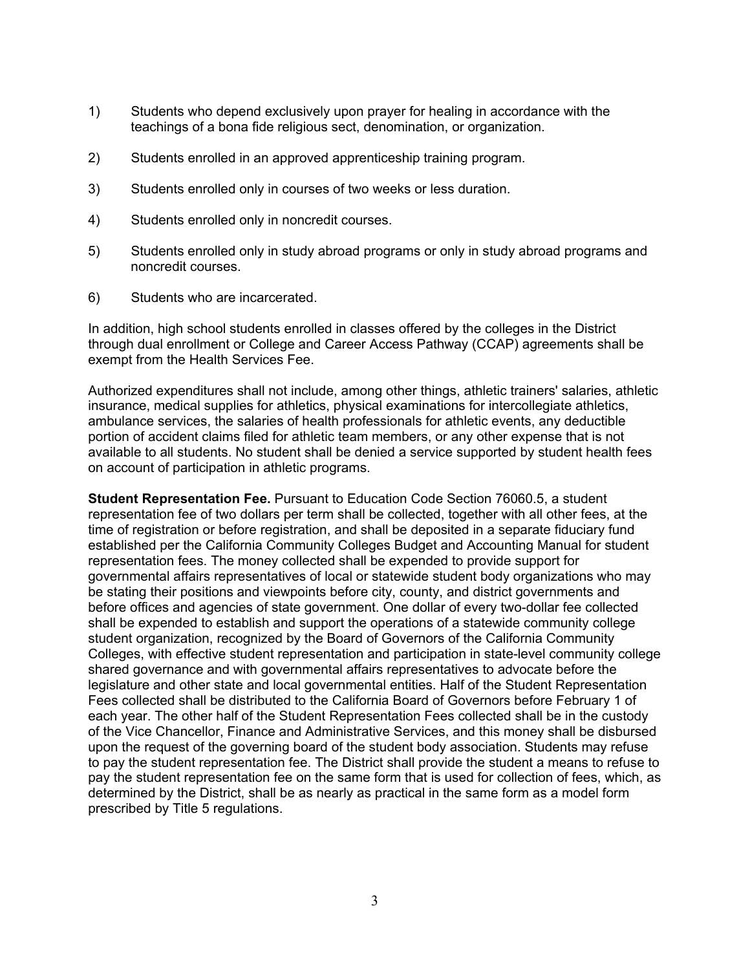- 1) Students who depend exclusively upon prayer for healing in accordance with the teachings of a bona fide religious sect, denomination, or organization.
- 2) Students enrolled in an approved apprenticeship training program.
- 3) Students enrolled only in courses of two weeks or less duration.
- 4) Students enrolled only in noncredit courses.
- 5) Students enrolled only in study abroad programs or only in study abroad programs and noncredit courses.
- 6) Students who are incarcerated.

In addition, high school students enrolled in classes offered by the colleges in the District through dual enrollment or College and Career Access Pathway (CCAP) agreements shall be exempt from the Health Services Fee.

Authorized expenditures shall not include, among other things, athletic trainers' salaries, athletic insurance, medical supplies for athletics, physical examinations for intercollegiate athletics, ambulance services, the salaries of health professionals for athletic events, any deductible portion of accident claims filed for athletic team members, or any other expense that is not available to all students. No student shall be denied a service supported by student health fees on account of participation in athletic programs.

**Student Representation Fee.** Pursuant to Education Code Section 76060.5, a student representation fee of two dollars per term shall be collected, together with all other fees, at the time of registration or before registration, and shall be deposited in a separate fiduciary fund established per the California Community Colleges Budget and Accounting Manual for student representation fees. The money collected shall be expended to provide support for governmental affairs representatives of local or statewide student body organizations who may be stating their positions and viewpoints before city, county, and district governments and before offices and agencies of state government. One dollar of every two-dollar fee collected shall be expended to establish and support the operations of a statewide community college student organization, recognized by the Board of Governors of the California Community Colleges, with effective student representation and participation in state-level community college shared governance and with governmental affairs representatives to advocate before the legislature and other state and local governmental entities. Half of the Student Representation Fees collected shall be distributed to the California Board of Governors before February 1 of each year. The other half of the Student Representation Fees collected shall be in the custody of the Vice Chancellor, Finance and Administrative Services, and this money shall be disbursed upon the request of the governing board of the student body association. Students may refuse to pay the student representation fee. The District shall provide the student a means to refuse to pay the student representation fee on the same form that is used for collection of fees, which, as determined by the District, shall be as nearly as practical in the same form as a model form prescribed by Title 5 regulations.